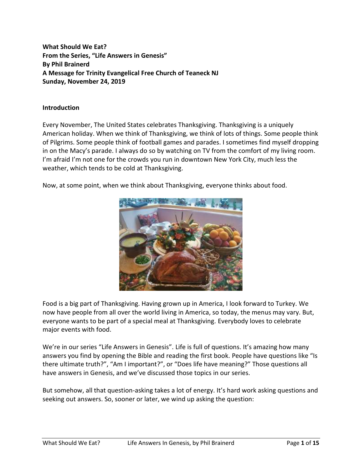**What Should We Eat? From the Series, "Life Answers in Genesis" By Phil Brainerd A Message for Trinity Evangelical Free Church of Teaneck NJ Sunday, November 24, 2019**

### **Introduction**

Every November, The United States celebrates Thanksgiving. Thanksgiving is a uniquely American holiday. When we think of Thanksgiving, we think of lots of things. Some people think of Pilgrims. Some people think of football games and parades. I sometimes find myself dropping in on the Macy's parade. I always do so by watching on TV from the comfort of my living room. I'm afraid I'm not one for the crowds you run in downtown New York City, much less the weather, which tends to be cold at Thanksgiving.

Now, at some point, when we think about Thanksgiving, everyone thinks about food.



Food is a big part of Thanksgiving. Having grown up in America, I look forward to Turkey. We now have people from all over the world living in America, so today, the menus may vary. But, everyone wants to be part of a special meal at Thanksgiving. Everybody loves to celebrate major events with food.

We're in our series "Life Answers in Genesis". Life is full of questions. It's amazing how many answers you find by opening the Bible and reading the first book. People have questions like "Is there ultimate truth?", "Am I important?", or "Does life have meaning?" Those questions all have answers in Genesis, and we've discussed those topics in our series.

But somehow, all that question-asking takes a lot of energy. It's hard work asking questions and seeking out answers. So, sooner or later, we wind up asking the question: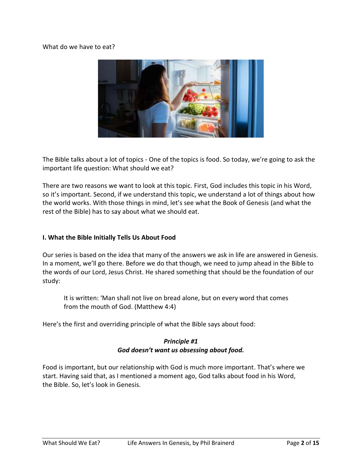### What do we have to eat?



The Bible talks about a lot of topics - One of the topics is food. So today, we're going to ask the important life question: What should we eat?

There are two reasons we want to look at this topic. First, God includes this topic in his Word, so it's important. Second, if we understand this topic, we understand a lot of things about how the world works. With those things in mind, let's see what the Book of Genesis (and what the rest of the Bible) has to say about what we should eat.

### **I. What the Bible Initially Tells Us About Food**

Our series is based on the idea that many of the answers we ask in life are answered in Genesis. In a moment, we'll go there. Before we do that though, we need to jump ahead in the Bible to the words of our Lord, Jesus Christ. He shared something that should be the foundation of our study:

It is written: 'Man shall not live on bread alone, but on every word that comes from the mouth of God. (Matthew 4:4)

Here's the first and overriding principle of what the Bible says about food:

# *Principle #1 God doesn't want us obsessing about food.*

Food is important, but our relationship with God is much more important. That's where we start. Having said that, as I mentioned a moment ago, God talks about food in his Word, the Bible. So, let's look in Genesis.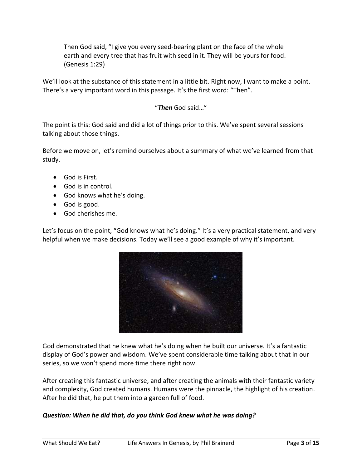Then God said, "I give you every seed-bearing plant on the face of the whole earth and every tree that has fruit with seed in it. They will be yours for food. (Genesis 1:29)

We'll look at the substance of this statement in a little bit. Right now, I want to make a point. There's a very important word in this passage. It's the first word: "Then".

# "*Then* God said…"

The point is this: God said and did a lot of things prior to this. We've spent several sessions talking about those things.

Before we move on, let's remind ourselves about a summary of what we've learned from that study.

- God is First.
- God is in control.
- God knows what he's doing.
- God is good.
- God cherishes me.

Let's focus on the point, "God knows what he's doing." It's a very practical statement, and very helpful when we make decisions. Today we'll see a good example of why it's important.



God demonstrated that he knew what he's doing when he built our universe. It's a fantastic display of God's power and wisdom. We've spent considerable time talking about that in our series, so we won't spend more time there right now.

After creating this fantastic universe, and after creating the animals with their fantastic variety and complexity, God created humans. Humans were the pinnacle, the highlight of his creation. After he did that, he put them into a garden full of food.

## *Question: When he did that, do you think God knew what he was doing?*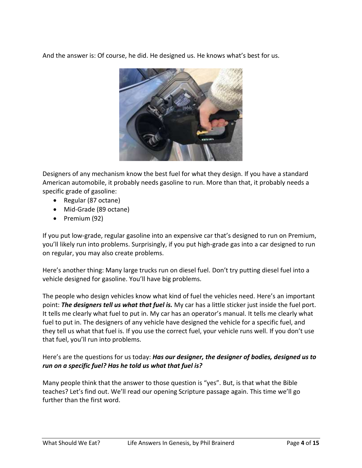And the answer is: Of course, he did. He designed us. He knows what's best for us.



Designers of any mechanism know the best fuel for what they design. If you have a standard American automobile, it probably needs gasoline to run. More than that, it probably needs a specific grade of gasoline:

- Regular (87 octane)
- Mid-Grade (89 octane)
- Premium (92)

If you put low-grade, regular gasoline into an expensive car that's designed to run on Premium, you'll likely run into problems. Surprisingly, if you put high-grade gas into a car designed to run on regular, you may also create problems.

Here's another thing: Many large trucks run on diesel fuel. Don't try putting diesel fuel into a vehicle designed for gasoline. You'll have big problems.

The people who design vehicles know what kind of fuel the vehicles need. Here's an important point: *The designers tell us what that fuel is.* My car has a little sticker just inside the fuel port. It tells me clearly what fuel to put in. My car has an operator's manual. It tells me clearly what fuel to put in. The designers of any vehicle have designed the vehicle for a specific fuel, and they tell us what that fuel is. If you use the correct fuel, your vehicle runs well. If you don't use that fuel, you'll run into problems.

Here's are the questions for us today: *Has our designer, the designer of bodies, designed us to run on a specific fuel? Has he told us what that fuel is?*

Many people think that the answer to those question is "yes". But, is that what the Bible teaches? Let's find out. We'll read our opening Scripture passage again. This time we'll go further than the first word.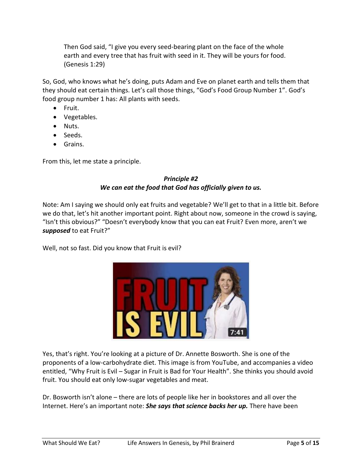Then God said, "I give you every seed-bearing plant on the face of the whole earth and every tree that has fruit with seed in it. They will be yours for food. (Genesis 1:29)

So, God, who knows what he's doing, puts Adam and Eve on planet earth and tells them that they should eat certain things. Let's call those things, "God's Food Group Number 1". God's food group number 1 has: All plants with seeds.

- Fruit.
- Vegetables.
- Nuts.
- Seeds.
- Grains.

From this, let me state a principle.

# *Principle #2 We can eat the food that God has officially given to us.*

Note: Am I saying we should only eat fruits and vegetable? We'll get to that in a little bit. Before we do that, let's hit another important point. Right about now, someone in the crowd is saying, "Isn't this obvious?" "Doesn't everybody know that you can eat Fruit? Even more, aren't we *supposed* to eat Fruit?"

Well, not so fast. Did you know that Fruit is evil?



Yes, that's right. You're looking at a picture of Dr. Annette Bosworth. She is one of the proponents of a low-carbohydrate diet. This image is from YouTube, and accompanies a video entitled, "Why Fruit is Evil – Sugar in Fruit is Bad for Your Health". She thinks you should avoid fruit. You should eat only low-sugar vegetables and meat.

Dr. Bosworth isn't alone – there are lots of people like her in bookstores and all over the Internet. Here's an important note: *She says that science backs her up.* There have been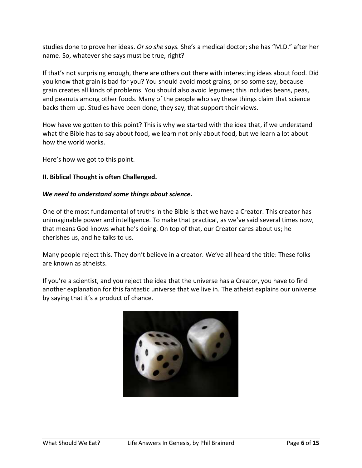studies done to prove her ideas. *Or so she says.* She's a medical doctor; she has "M.D." after her name. So, whatever she says must be true, right?

If that's not surprising enough, there are others out there with interesting ideas about food. Did you know that grain is bad for you? You should avoid most grains, or so some say, because grain creates all kinds of problems. You should also avoid legumes; this includes beans, peas, and peanuts among other foods. Many of the people who say these things claim that science backs them up. Studies have been done, they say, that support their views.

How have we gotten to this point? This is why we started with the idea that, if we understand what the Bible has to say about food, we learn not only about food, but we learn a lot about how the world works.

Here's how we got to this point.

### **II. Biblical Thought is often Challenged.**

#### *We need to understand some things about science.*

One of the most fundamental of truths in the Bible is that we have a Creator. This creator has unimaginable power and intelligence. To make that practical, as we've said several times now, that means God knows what he's doing. On top of that, our Creator cares about us; he cherishes us, and he talks to us.

Many people reject this. They don't believe in a creator. We've all heard the title: These folks are known as atheists.

If you're a scientist, and you reject the idea that the universe has a Creator, you have to find another explanation for this fantastic universe that we live in. The atheist explains our universe by saying that it's a product of chance.

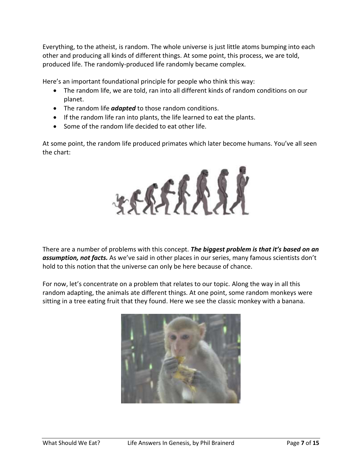Everything, to the atheist, is random. The whole universe is just little atoms bumping into each other and producing all kinds of different things. At some point, this process, we are told, produced life. The randomly-produced life randomly became complex.

Here's an important foundational principle for people who think this way:

- The random life, we are told, ran into all different kinds of random conditions on our planet.
- The random life *adapted* to those random conditions.
- If the random life ran into plants, the life learned to eat the plants.
- Some of the random life decided to eat other life.

At some point, the random life produced primates which later become humans. You've all seen the chart:



There are a number of problems with this concept. *The biggest problem is that it's based on an assumption, not facts.* As we've said in other places in our series, many famous scientists don't hold to this notion that the universe can only be here because of chance.

For now, let's concentrate on a problem that relates to our topic. Along the way in all this random adapting, the animals ate different things. At one point, some random monkeys were sitting in a tree eating fruit that they found. Here we see the classic monkey with a banana.

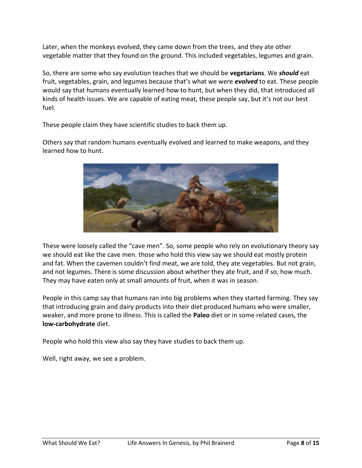Later, when the monkeys evolved, they came down from the trees, and they ate other vegetable matter that they found on the ground. This included vegetables, legumes and grain.

So, there are some who say evolution teaches that we should be **vegetarians**. We *should* eat fruit, vegetables, grain, and legumes because that's what we were *evolved* to eat. These people would say that humans eventually learned how to hunt, but when they did, that introduced all kinds of health issues. We are capable of eating meat, these people say, but it's not our best fuel.

These people claim they have scientific studies to back them up.

Others say that random humans eventually evolved and learned to make weapons, and they learned how to hunt.



These were loosely called the "cave men". So, some people who rely on evolutionary theory say we should eat like the cave men. those who hold this view say we should eat mostly protein and fat. When the cavemen couldn't find meat, we are told, they ate vegetables. But not grain, and not legumes. There is some discussion about whether they ate fruit, and if so, how much. They may have eaten only at small amounts of fruit, when it was in season.

People in this camp say that humans ran into big problems when they started farming. They say that introducing grain and dairy products into their diet produced humans who were smaller, weaker, and more prone to illness. This is called the **Paleo** diet or in some related cases, the **low-carbohydrate** diet.

People who hold this view also say they have studies to back them up.

Well, right away, we see a problem.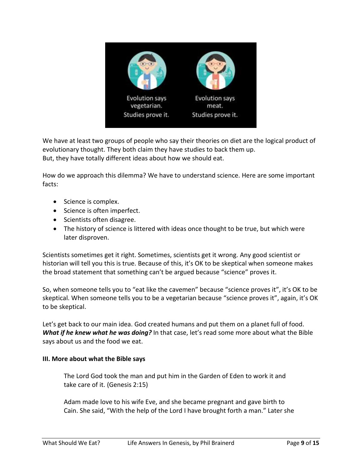

We have at least two groups of people who say their theories on diet are the logical product of evolutionary thought. They both claim they have studies to back them up. But, they have totally different ideas about how we should eat.

How do we approach this dilemma? We have to understand science. Here are some important facts:

- Science is complex.
- Science is often imperfect.
- Scientists often disagree.
- The history of science is littered with ideas once thought to be true, but which were later disproven.

Scientists sometimes get it right. Sometimes, scientists get it wrong. Any good scientist or historian will tell you this is true. Because of this, it's OK to be skeptical when someone makes the broad statement that something can't be argued because "science" proves it.

So, when someone tells you to "eat like the cavemen" because "science proves it", it's OK to be skeptical. When someone tells you to be a vegetarian because "science proves it", again, it's OK to be skeptical.

Let's get back to our main idea. God created humans and put them on a planet full of food. *What if he knew what he was doing?* In that case, let's read some more about what the Bible says about us and the food we eat.

## **III. More about what the Bible says**

The Lord God took the man and put him in the Garden of Eden to work it and take care of it. (Genesis 2:15)

Adam made love to his wife Eve, and she became pregnant and gave birth to Cain. She said, "With the help of the Lord I have brought forth a man." Later she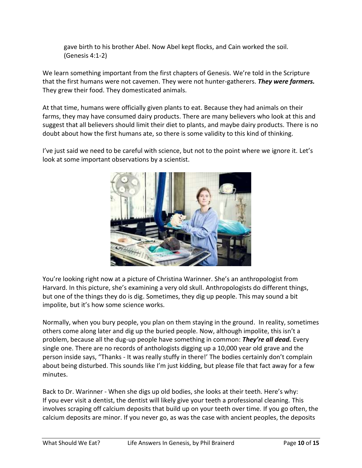gave birth to his brother Abel. Now Abel kept flocks, and Cain worked the soil. (Genesis 4:1-2)

We learn something important from the first chapters of Genesis. We're told in the Scripture that the first humans were not cavemen. They were not hunter-gatherers. *They were farmers.* They grew their food. They domesticated animals.

At that time, humans were officially given plants to eat. Because they had animals on their farms, they may have consumed dairy products. There are many believers who look at this and suggest that all believers should limit their diet to plants, and maybe dairy products. There is no doubt about how the first humans ate, so there is some validity to this kind of thinking.

I've just said we need to be careful with science, but not to the point where we ignore it. Let's look at some important observations by a scientist.



You're looking right now at a picture of Christina Warinner. She's an anthropologist from Harvard. In this picture, she's examining a very old skull. Anthropologists do different things, but one of the things they do is dig. Sometimes, they dig up people. This may sound a bit impolite, but it's how some science works.

Normally, when you bury people, you plan on them staying in the ground. In reality, sometimes others come along later and dig up the buried people. Now, although impolite, this isn't a problem, because all the dug-up people have something in common: *They're all dead.* Every single one. There are no records of anthologists digging up a 10,000 year old grave and the person inside says, "Thanks - It was really stuffy in there!' The bodies certainly don't complain about being disturbed. This sounds like I'm just kidding, but please file that fact away for a few minutes.

Back to Dr. Warinner - When she digs up old bodies, she looks at their teeth. Here's why: If you ever visit a dentist, the dentist will likely give your teeth a professional cleaning. This involves scraping off calcium deposits that build up on your teeth over time. If you go often, the calcium deposits are minor. If you never go, as was the case with ancient peoples, the deposits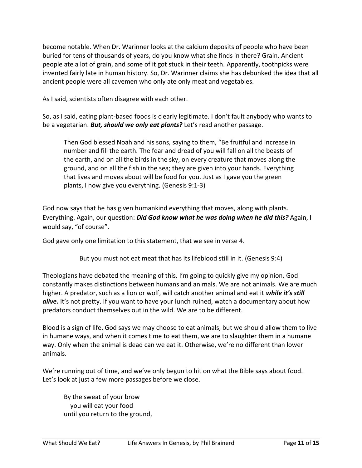become notable. When Dr. Warinner looks at the calcium deposits of people who have been buried for tens of thousands of years, do you know what she finds in there? Grain. Ancient people ate a lot of grain, and some of it got stuck in their teeth. Apparently, toothpicks were invented fairly late in human history. So, Dr. Warinner claims she has debunked the idea that all ancient people were all cavemen who only ate only meat and vegetables.

As I said, scientists often disagree with each other.

So, as I said, eating plant-based foods is clearly legitimate. I don't fault anybody who wants to be a vegetarian. *But, should we only eat plants?* Let's read another passage.

Then God blessed Noah and his sons, saying to them, "Be fruitful and increase in number and fill the earth. The fear and dread of you will fall on all the beasts of the earth, and on all the birds in the sky, on every creature that moves along the ground, and on all the fish in the sea; they are given into your hands. Everything that lives and moves about will be food for you. Just as I gave you the green plants, I now give you everything. (Genesis 9:1-3)

God now says that he has given humankind everything that moves, along with plants. Everything. Again, our question: *Did God know what he was doing when he did this?* Again, I would say, "of course".

God gave only one limitation to this statement, that we see in verse 4.

But you must not eat meat that has its lifeblood still in it. (Genesis 9:4)

Theologians have debated the meaning of this. I'm going to quickly give my opinion. God constantly makes distinctions between humans and animals. We are not animals. We are much higher. A predator, such as a lion or wolf, will catch another animal and eat it *while it's still*  alive. It's not pretty. If you want to have your lunch ruined, watch a documentary about how predators conduct themselves out in the wild. We are to be different.

Blood is a sign of life. God says we may choose to eat animals, but we should allow them to live in humane ways, and when it comes time to eat them, we are to slaughter them in a humane way. Only when the animal is dead can we eat it. Otherwise, we're no different than lower animals.

We're running out of time, and we've only begun to hit on what the Bible says about food. Let's look at just a few more passages before we close.

By the sweat of your brow you will eat your food until you return to the ground,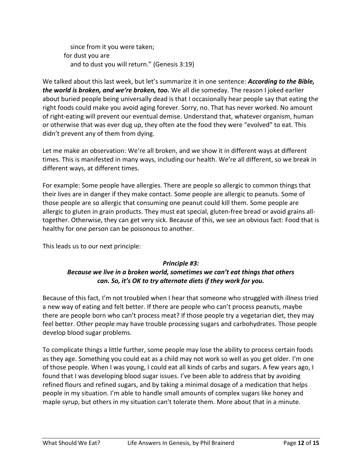since from it you were taken; for dust you are and to dust you will return." (Genesis 3:19)

We talked about this last week, but let's summarize it in one sentence: *According to the Bible, the world is broken, and we're broken, too.* We all die someday. The reason I joked earlier about buried people being universally dead is that I occasionally hear people say that eating the right foods could make you avoid aging forever. Sorry, no. That has never worked. No amount of right-eating will prevent our eventual demise. Understand that, whatever organism, human or otherwise that was ever dug up, they often ate the food they were "evolved" to eat. This didn't prevent any of them from dying.

Let me make an observation: We're all broken, and we show it in different ways at different times. This is manifested in many ways, including our health. We're all different, so we break in different ways, at different times.

For example: Some people have allergies. There are people so allergic to common things that their lives are in danger if they make contact. Some people are allergic to peanuts. Some of those people are so allergic that consuming one peanut could kill them. Some people are allergic to gluten in grain products. They must eat special, gluten-free bread or avoid grains alltogether. Otherwise, they can get very sick. Because of this, we see an obvious fact: Food that is healthy for one person can be poisonous to another.

This leads us to our next principle:

# *Principle #3: Because we live in a broken world, sometimes we can't eat things that others can. So, it's OK to try alternate diets if they work for you.*

Because of this fact, I'm not troubled when I hear that someone who struggled with illness tried a new way of eating and felt better. If there are people who can't process peanuts, maybe there are people born who can't process meat? If those people try a vegetarian diet, they may feel better. Other people may have trouble processing sugars and carbohydrates. Those people develop blood sugar problems.

To complicate things a little further, some people may lose the ability to process certain foods as they age. Something you could eat as a child may not work so well as you get older. I'm one of those people. When I was young, I could eat all kinds of carbs and sugars. A few years ago, I found that I was developing blood sugar issues. I've been able to address that by avoiding refined flours and refined sugars, and by taking a minimal dosage of a medication that helps people in my situation. I'm able to handle small amounts of complex sugars like honey and maple syrup, but others in my situation can't tolerate them. More about that in a minute.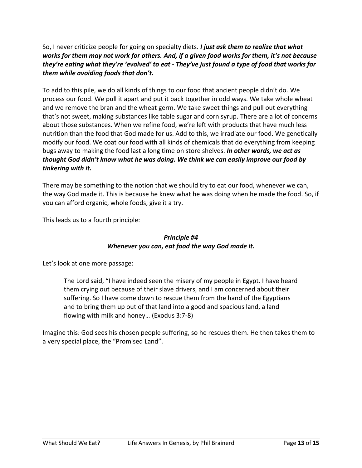So, I never criticize people for going on specialty diets. *I just ask them to realize that what works for them may not work for others. And, if a given food works for them, it's not because they're eating what they're 'evolved' to eat - They've just found a type of food that works for them while avoiding foods that don't.*

To add to this pile, we do all kinds of things to our food that ancient people didn't do. We process our food. We pull it apart and put it back together in odd ways. We take whole wheat and we remove the bran and the wheat germ. We take sweet things and pull out everything that's not sweet, making substances like table sugar and corn syrup. There are a lot of concerns about those substances. When we refine food, we're left with products that have much less nutrition than the food that God made for us. Add to this, we irradiate our food. We genetically modify our food. We coat our food with all kinds of chemicals that do everything from keeping bugs away to making the food last a long time on store shelves. *In other words, we act as thought God didn't know what he was doing. We think we can easily improve our food by tinkering with it.*

There may be something to the notion that we should try to eat our food, whenever we can, the way God made it. This is because he knew what he was doing when he made the food. So, if you can afford organic, whole foods, give it a try.

This leads us to a fourth principle:

# *Principle #4 Whenever you can, eat food the way God made it.*

Let's look at one more passage:

The Lord said, "I have indeed seen the misery of my people in Egypt. I have heard them crying out because of their slave drivers, and I am concerned about their suffering. So I have come down to rescue them from the hand of the Egyptians and to bring them up out of that land into a good and spacious land, a land flowing with milk and honey… (Exodus 3:7-8)

Imagine this: God sees his chosen people suffering, so he rescues them. He then takes them to a very special place, the "Promised Land".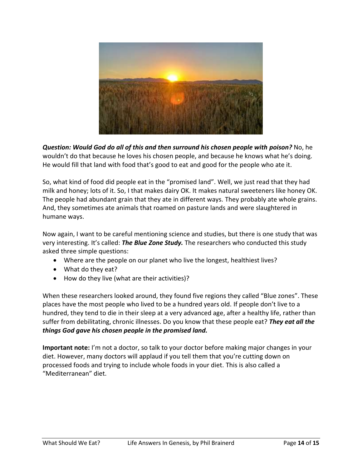

*Question: Would God do all of this and then surround his chosen people with poison?* No, he wouldn't do that because he loves his chosen people, and because he knows what he's doing. He would fill that land with food that's good to eat and good for the people who ate it.

So, what kind of food did people eat in the "promised land". Well, we just read that they had milk and honey; lots of it. So, I that makes dairy OK. It makes natural sweeteners like honey OK. The people had abundant grain that they ate in different ways. They probably ate whole grains. And, they sometimes ate animals that roamed on pasture lands and were slaughtered in humane ways.

Now again, I want to be careful mentioning science and studies, but there is one study that was very interesting. It's called: *The Blue Zone Study.* The researchers who conducted this study asked three simple questions:

- Where are the people on our planet who live the longest, healthiest lives?
- What do they eat?
- How do they live (what are their activities)?

When these researchers looked around, they found five regions they called "Blue zones". These places have the most people who lived to be a hundred years old. If people don't live to a hundred, they tend to die in their sleep at a very advanced age, after a healthy life, rather than suffer from debilitating, chronic illnesses. Do you know that these people eat? *They eat all the things God gave his chosen people in the promised land.*

**Important note:** I'm not a doctor, so talk to your doctor before making major changes in your diet. However, many doctors will applaud if you tell them that you're cutting down on processed foods and trying to include whole foods in your diet. This is also called a "Mediterranean" diet.